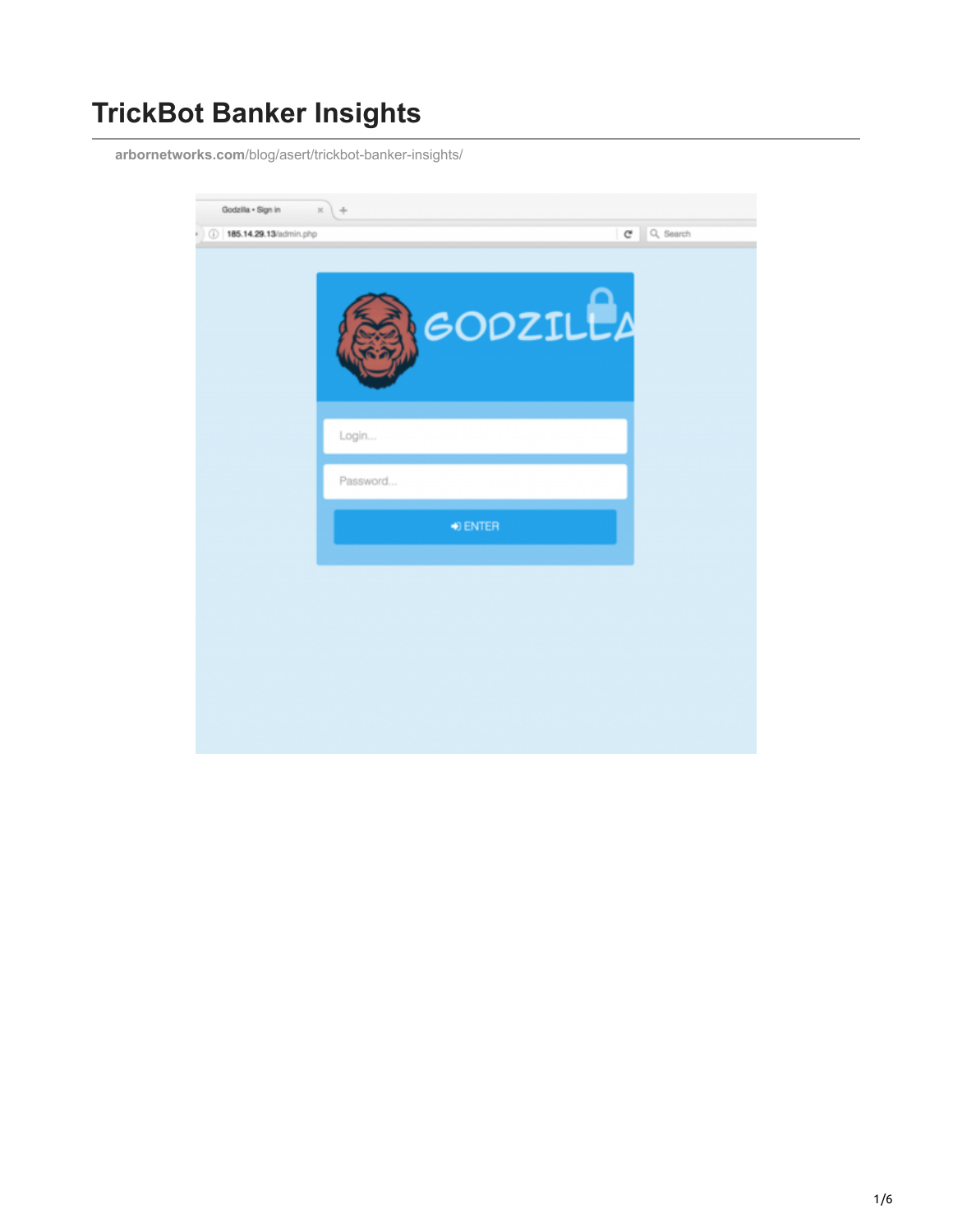## **TrickBot Banker Insights**

**arbornetworks.com**[/blog/asert/trickbot-banker-insights/](https://www.arbornetworks.com/blog/asert/trickbot-banker-insights/)

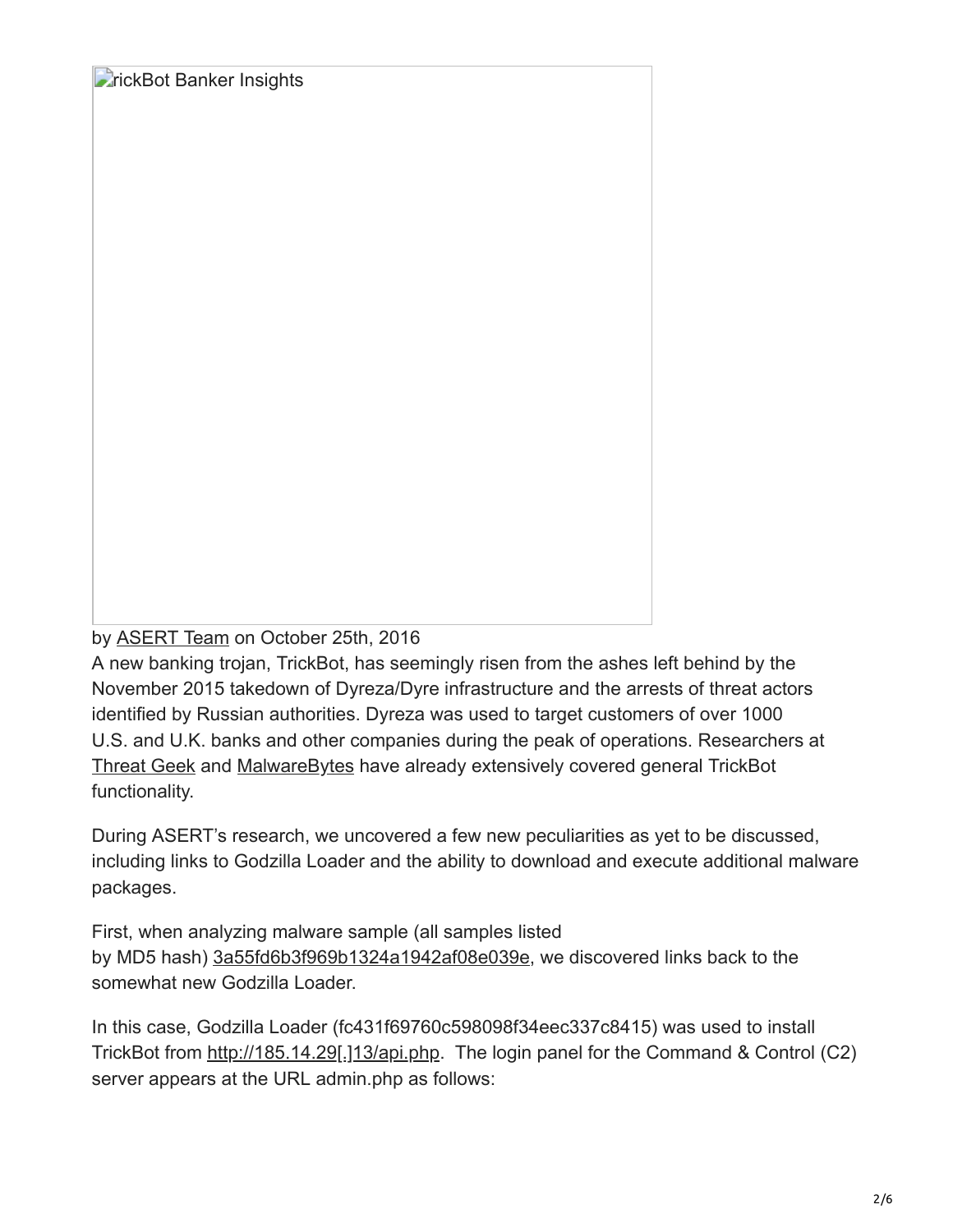**FrickBot Banker Insights** 

by [ASERT Team](https://www.netscout.com/blog/asert/asert-team) on October 25th, 2016

A new banking trojan, TrickBot, has seemingly risen from the ashes left behind by the November 2015 takedown of Dyreza/Dyre infrastructure and the arrests of threat actors identified by Russian authorities. Dyreza was used to target customers of over 1000 U.S. and U.K. banks and other companies during the peak of operations. Researchers at [Threat Geek](http://www.threatgeek.com/2016/10/trickbot-the-dyre-connection.html) and [MalwareBytes](https://blog.malwarebytes.com/threat-analysis/2016/10/trick-bot-dyrezas-successor/amp/) have already extensively covered general TrickBot functionality.

During ASERT's research, we uncovered a few new peculiarities as yet to be discussed, including links to Godzilla Loader and the ability to download and execute additional malware packages.

First, when analyzing malware sample (all samples listed by MD5 hash) [3a55fd6b3f969b1324a1942af08e039e](https://www.virustotal.com/gui/file/d66ccf3ba28b5016d0683854acfefcea9330d7a92da9c001307cf11a49fb9672/detection), we discovered links back to the somewhat new Godzilla Loader.

In this case, Godzilla Loader (fc431f69760c598098f34eec337c8415) was used to install TrickBot from http://185.14.29[.]13/api.php. The login panel for the Command & Control (C2) server appears at the URL admin.php as follows: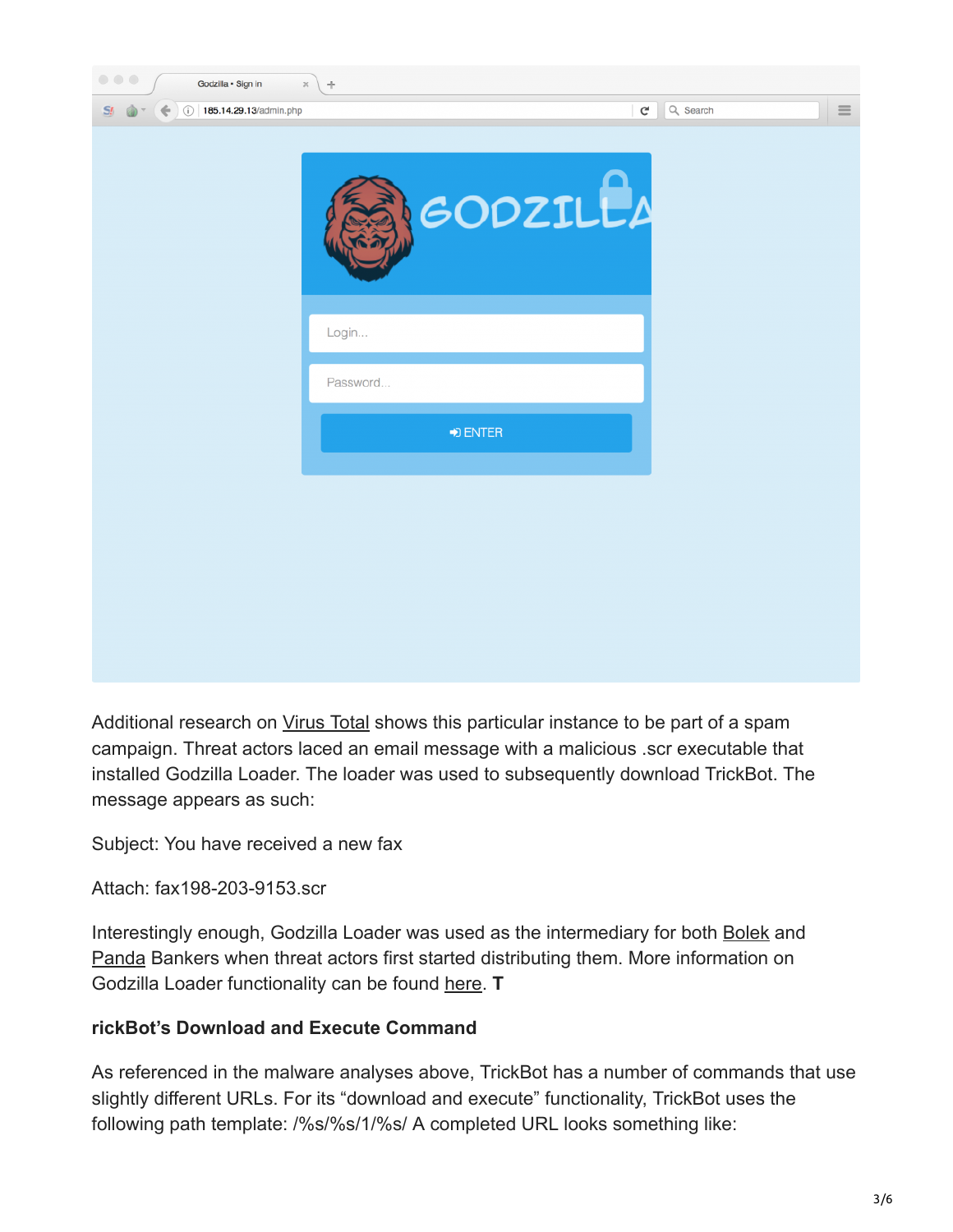| $\begin{array}{c} \circ \\ \circ \\ \circ \end{array}$<br>Godzilla · Sign in | $\rm \times$<br>$+$       |          |          |
|------------------------------------------------------------------------------|---------------------------|----------|----------|
| 185.14.29.13/admin.php<br>$S_{l}$                                            | $\mathsf{C}^{\mathsf{c}}$ | Q Search | $\equiv$ |
|                                                                              | GODZILLA                  |          |          |
|                                                                              | Login                     |          |          |
|                                                                              | Password                  |          |          |
|                                                                              | $\rightarrow$ ENTER       |          |          |
|                                                                              |                           |          |          |
|                                                                              |                           |          |          |
|                                                                              |                           |          |          |
|                                                                              |                           |          |          |
|                                                                              |                           |          |          |

Additional research on [Virus Total](https://www.virustotal.com/) shows this particular instance to be part of a spam campaign. Threat actors laced an email message with a malicious .scr executable that installed Godzilla Loader. The loader was used to subsequently download TrickBot. The message appears as such:

Subject: You have received a new fax

Attach: fax198-203-9153.scr

Interestingly enough, Godzilla Loader was used as the intermediary for both [Bolek](http://asert.arbornetworks.com/communications-bolek-trojan/) and [Panda](https://www.proofpoint.com/us/threat-insight/post/panda-banker-new-banking-trojan-hits-the-market) Bankers when threat actors first started distributing them. More information on Godzilla Loader functionality can be found [here.](http://www.kernelmode.info/forum/viewtopic.php?f=16&t=4349&p=28427&hilit=godzilla#p28427) **T**

## **rickBot's Download and Execute Command**

As referenced in the malware analyses above, TrickBot has a number of commands that use slightly different URLs. For its "download and execute" functionality, TrickBot uses the following path template: /%s/%s/1/%s/ A completed URL looks something like: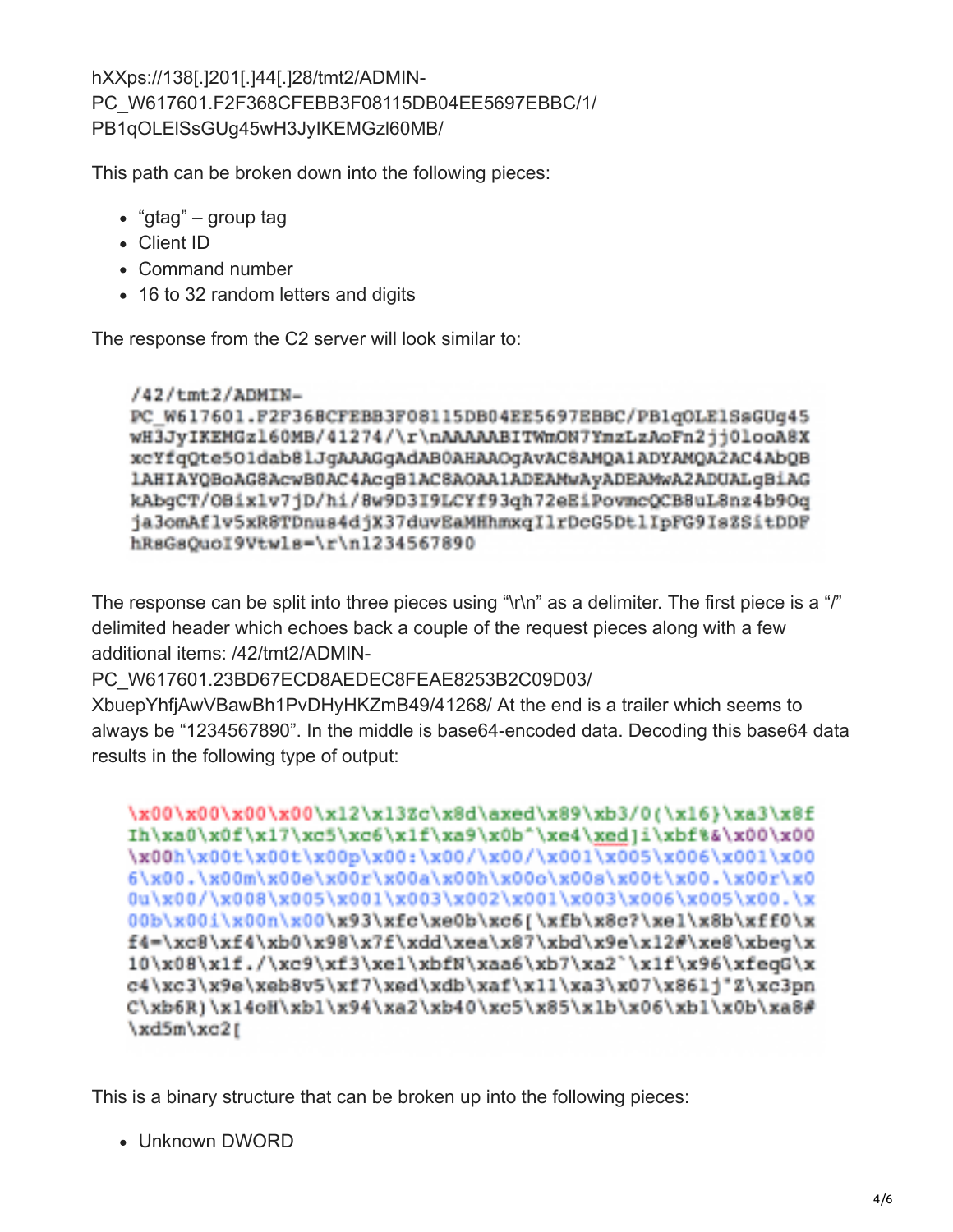hXXps://138[.]201[.]44[.]28/tmt2/ADMIN-PC\_W617601.F2F368CFEBB3F08115DB04EE5697EBBC/1/ PB1qOLElSsGUg45wH3JyIKEMGzl60MB/

This path can be broken down into the following pieces:

- "gtag" group tag
- Client ID
- Command number
- 16 to 32 random letters and digits

The response from the C2 server will look similar to:

/42/tmt2/ADMIN-PC W617601.F2F368CFEBB3F08115DB04EE5697EBBC/PB1qOLE1SsGUq45 wH3JyIKEMGz160MB/41274/\r\nAAAAABITWmON7YmzLzAoFn2jj0looA8X xcYfqQte5Oldab8lJqAAAGqAdAB0AHAAOqAvAC8AMQA1ADYAMQA2AC4AbQB 1AHIAYQBoAG8AcwB0AC4AcqB1AC8AOAA1ADEAMwAyADEAMwA2ADUALqBiAG kAbqCT/OBixlv7jD/hi/8w9D3I9LCYf93qh72eEiPovmcQCB8uL8nz4b9Oq ja3omAflv5xR8TDnus4djX37duvEaMHhmxqIlrDcG5DtlIpFG9IsZSitDDF hRsGsOuoI9Vtwls=\r\n1234567890

The response can be split into three pieces using "\r\n" as a delimiter. The first piece is a "/" delimited header which echoes back a couple of the request pieces along with a few additional items: /42/tmt2/ADMIN-

PC\_W617601.23BD67ECD8AEDEC8FEAE8253B2C09D03/

XbuepYhfjAwVBawBh1PvDHyHKZmB49/41268/ At the end is a trailer which seems to always be "1234567890". In the middle is base64-encoded data. Decoding this base64 data results in the following type of output:

```
\x00\x00\x00\x00\x12\x13Zc\x8d\axed\x89\xb3/0(\x16}\xa3\x8f
Ih\xa0\x0f\x17\xc5\xc6\x1f\xa9\x0b^\xe4\xed]i\xbf%&\x00\x00
\x00h\x00t\x00t\x00p\x00:\x00/\x00/\x001\x005\x006\x001\x00
6\x00.\x00m\x00e\x00r\x00a\x00h\x00o\x00s\x00t\x00.\x00r\x0
0u\x00/\x008\x005\x001\x003\x002\x001\x003\x006\x005\x00.\x
00b\x00i\x00n\x00\x93\xfc\xe0b\xc6[\xfb\x8c?\xel\x8b\xff0\x
f4=\xc8\xf4\xb0\x98\x7f\xdd\xea\x87\xbd\x9e\x12#\xe8\xbeq\x
10\x08\x1f./\xc9\xf3\xe1\xbfN\xaa6\xb7\xa2`\x1f\x96\xfeqG\x
c4\xc3\x9e\xeb8v5\xf7\xed\xdb\xaf\x11\xa3\x07\x861j"Z\xc3pn
C\xab6R1\xab1\xab1\xab1\xab4\xab2\xab40\xc5\xab5\xab1\xab1\xab1\xab1\xab\xab88\xd5m\xo21
```
This is a binary structure that can be broken up into the following pieces:

Unknown DWORD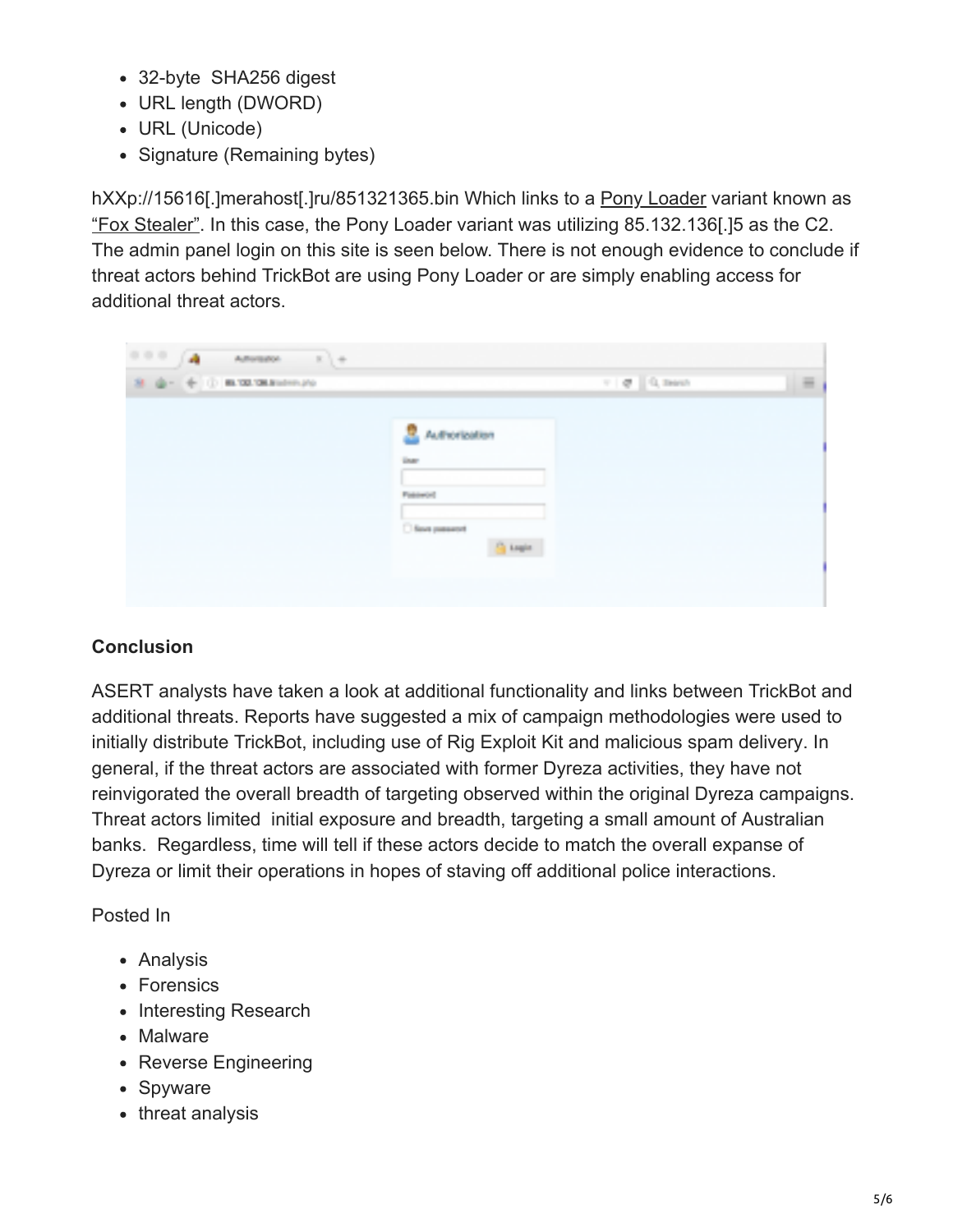- 32-byte SHA256 digest
- URL length (DWORD)
- URL (Unicode)
- Signature (Remaining bytes)

hXXp://15616[.]merahost[.]ru/851321365.bin Which links to a [Pony Loader](https://www.virustotal.com/en/file/12135a638ded89b32f3028167da38f4968a00f17c5c61fa90b5ee4ed5d69bf25/analysis/) variant known as ["Fox Stealer"](http://malware.dontneedcoffee.com/2016/09/fox-stealer-another-pony-fork.html). In this case, the Pony Loader variant was utilizing 85.132.136[.]5 as the C2. The admin panel login on this site is seen below. There is not enough evidence to conclude if threat actors behind TrickBot are using Pony Loader or are simply enabling access for additional threat actors.

| 0.0.0.1<br>(A)<br>$\label{eq:adversal} \begin{array}{cccccccccc} A & B & \text{otherwise} & & & \mathbb{K} & \mathbb{Q} & \oplus \end{array}$ |                                                                                              |                                             |          |
|-----------------------------------------------------------------------------------------------------------------------------------------------|----------------------------------------------------------------------------------------------|---------------------------------------------|----------|
| $B_{1} \oplus \cdots \oplus \oplus$ in talent subseque                                                                                        |                                                                                              | $\tau$ : $q\bar{q}$ . $\Omega_{\rm c}$ much | $\equiv$ |
|                                                                                                                                               | R<br>Authorization<br><b>DATE</b><br><b>Pattowood</b><br><b>Changement</b><br><b>G</b> tests |                                             |          |

## **Conclusion**

ASERT analysts have taken a look at additional functionality and links between TrickBot and additional threats. Reports have suggested a mix of campaign methodologies were used to initially distribute TrickBot, including use of Rig Exploit Kit and malicious spam delivery. In general, if the threat actors are associated with former Dyreza activities, they have not reinvigorated the overall breadth of targeting observed within the original Dyreza campaigns. Threat actors limited initial exposure and breadth, targeting a small amount of Australian banks. Regardless, time will tell if these actors decide to match the overall expanse of Dyreza or limit their operations in hopes of staving off additional police interactions.

Posted In

- Analysis
- Forensics
- Interesting Research
- Malware
- Reverse Engineering
- Spyware
- threat analysis